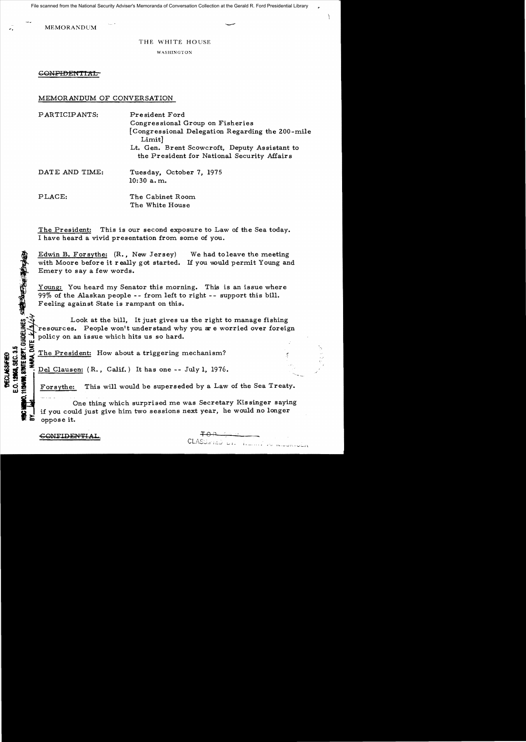File scanned from the National Security Adviser's Memoranda of Conversation Collection at the Gerald R. Ford Presidential Library

WEMORANDUM

THE WHITE HOUSE

WASHINGTON

GONFIDENTIAL

## MEMORANDUM OF CONVERSATION

| PARTICIPANTS:  | President Ford<br>Congressional Group on Fisheries                                           |
|----------------|----------------------------------------------------------------------------------------------|
|                | [Congressional Delegation Regarding the 200-mile<br>Limit]                                   |
|                | Lt. Gen. Brent Scowcroft, Deputy Assistant to<br>the President for National Security Affairs |
| DATE AND TIME: | Tuesday, October 7, 1975<br>$10:30$ a.m.                                                     |
| PLACE:         | The Cabinet Room<br>The White House                                                          |

The President: This is our second exposure to Law of the Sea today. I have heard a vivid presentation from some of you.

Edwin B. Forsythe: (R., New Jersey) We had to leave the meeting with Moore before it really got started. If you would permit Young and Emery to say a few words.

Young: You heard my Senator this morning. This is an issue where 99% of the Alaskan people -- from left to right -- support this bill. Feeling against State is rampant on this.

Look at the bill, It just gives us the right to manage fishing resources. People won't understand why you are worried over foreign policy on an issue which hits us so hard. **n**<br>1.30版

Solid The President: How about a triggering mechanism?<br>
Solid Solid Solid Clausen: (R., Calif.) It has one -- July 1, 1976<br>
Solid Solid Solid Solid Solid Solid Solid Solid Solid Solid Solid Solid Solid Solid Solid Solid So

Del Clausen: (R., Calif.) It has one -- July 1, 1976.<br>**Forsythe:** This will would be superseded by a Law

This will would be superseded by a Law of the Sea Treaty.

One thing which surprised me was Secretary Kissinger saying if you could just give him two sessions next year, he would no longer oppose it.

CLASURIEU DI LA INTERNATIONAL

CONEIDENTIA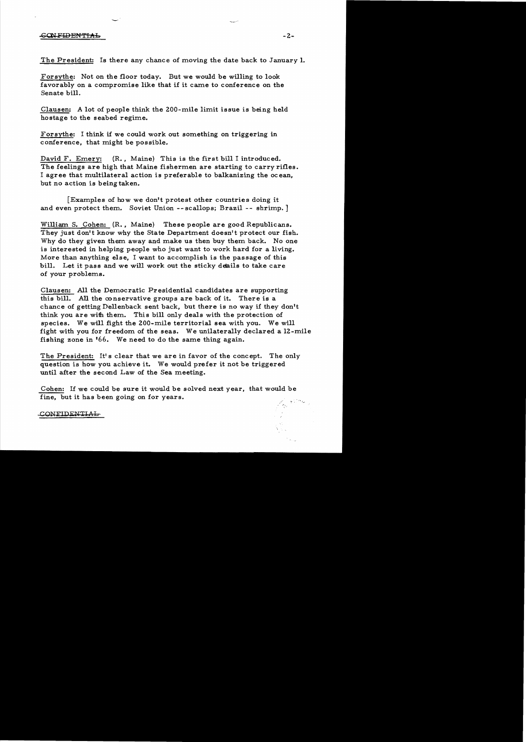The President: Is there any chance of moving the date back to January 1.

Forsythe: Not on the floor today. But we would be willing to look favorably on a compromise like that if it came to conference on the Senate bill.

Clausen: A lot of people think the ZOO-mile limit issue is being held hostage to the seabed regime.

Forsythe: I think if we could work out something on triggering in conference, that might be possible.

David F. Emery: (R., Maine) This is the first bill I introduced. The feelings are high that Maine fishermen are starting to carry rifles. I agree that multilateral action is preferable to balkanizing the ocean, but no action is being taken.

[Examples of how we don't protest other countries doing it and even protect them. Soviet Union --scallops; Brazil -- shrimp.]

William S. Cohen: (R., Maine) These people are good Republicans. They just don't know why the State Department doesn't protect our fish. Why do they given them away and make us then buy them back. No one is interested in helping people who just want to work hard for a living. More than anything else, I want to accomplish is the passage of this bill. Let it pass and we will work out the sticky deails to take care of your problems.

Clausen: All the Democratic Presidential candidates are supporting this bill. All the conservative groups are back of it. There is a chance of getting Dellenback sent back, but there is no way if they don't think you are with them. This bill only deals with the protection of species. We will fight the ZOO-mile territorial sea with you. We will fight with you for freedom of the seas. We unilaterally declared a lZ-mile fishing zone in '66. We need to do the same thing again.

The President: It's clear that we are in favor of the concept. The only question is how you achieve it. We would prefer it not be triggered until after the second Law of the Sea meeting.

Cohen: If we could be sure it would be solved next year, that would be fine, but it has been going on for years.

CONFIDENTIAL

المستد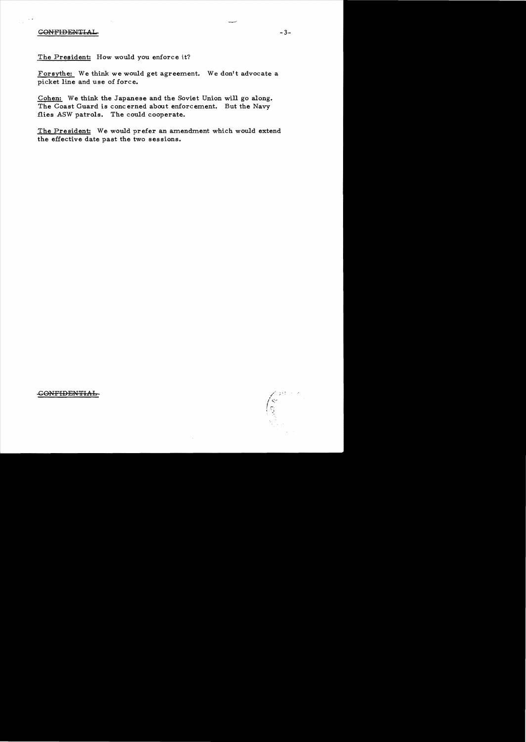## C<del>ONFIDENTIAL</del> 3-

The President: How would you enforce it?

Forsythe: We think we would get agreement. We don't advocate a picket line and use of force.

Cohen: We think the Japanese and the Soviet Union will go along. The Coast Guard is concerned about enforcement. But the Navy flies ASW patrols. The could cooperate.

The President: We would prefer an amendment which would extend the effective date past the two sessions.

## -GONFlDENTIAb

 $\sim$  pkg. へやり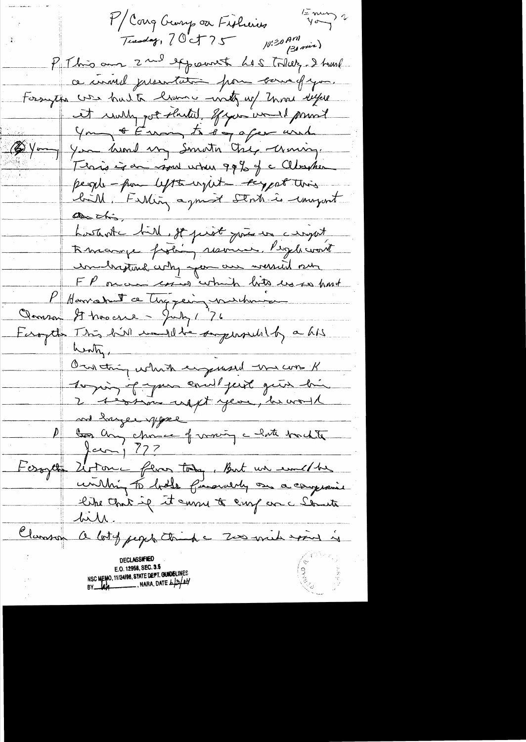$\frac{1}{2}m\omega$ Mcong George ou Fisheries Tuesday,  $70-75$   $10^{130}$   $\frac{1}{130}$  min) P This am 2 nd expount hes toller. I tous ce univel presentation pour causa of you. Forsythe was hulte liven wanty up Zenne keepse it willy got shuted gran would privat Young & Europe to say a few und (2) Young You hand my Smath Che, Uming. Terris is an more when 99% of a Cleanter people-pour left to regul - support this birth, Fishing a journ Stock is comport as this. L'estante bill, st priet prie un cinquit Kneampe frohing resource. People won't un brigting why you are wound our FP once coins which lots us so hast P Harron de Tuggein, number Clamson It has erre - July 176<br>Feroyet This hill may the sugerous by a his water. On this which engeneered the cons K toging of your early just give bin 2 <del>1 évident uppt year, la voise</del> and hanger your De la component de la fonde Jan 1 777 Ferget Liton ferr tody, But un emette <u>hill</u> Clamson a lotg people think a Zero mich examine is E.O. 12958, SEC. 3.5 NSC MEMO, 11/24/98, STATE DEPT. GUNDELINES<br>BY 4/4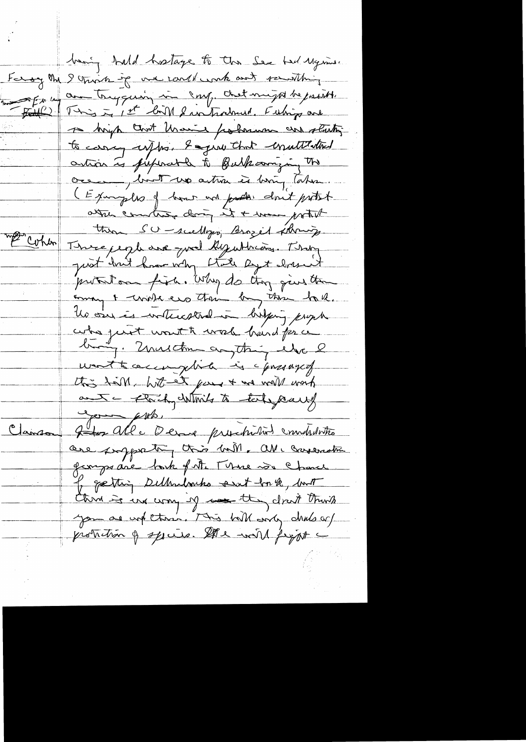being hald hostage to the Sex had Mysine. Forany the I think if we could work and rewitting En un communication in comp. chet might be passible Fille This is the light fun framed Fuling and to brigh that those polarman and starting to carry upps. I give that equilitaties artion is futurable to Bulkcomizing The oce Mont up artir et hing latin. (Examples of how and poster don't protect atter committee doing it + was with thin SU - scultures, Brozel strong. P Cohen Three people are just hyuthian. They protection fixe. Why do they give the coming & work ero their by the hall. les oèrs à votrestrat à britjag prophe who just wonth work hand for a busy. Unusche comptain else l worthouse plink is presaged this hall, hat at goes + we well work ant - Florchy Which to take pearly  $f(t)$ Clairs Joseph alle Derane preschations emploites are propperty this ball, all carenation georges ave back of Mr There was chance of getting Delhadouks sat for 2, but Chris se un comp of come they cloud think protection of species. It's with fight -